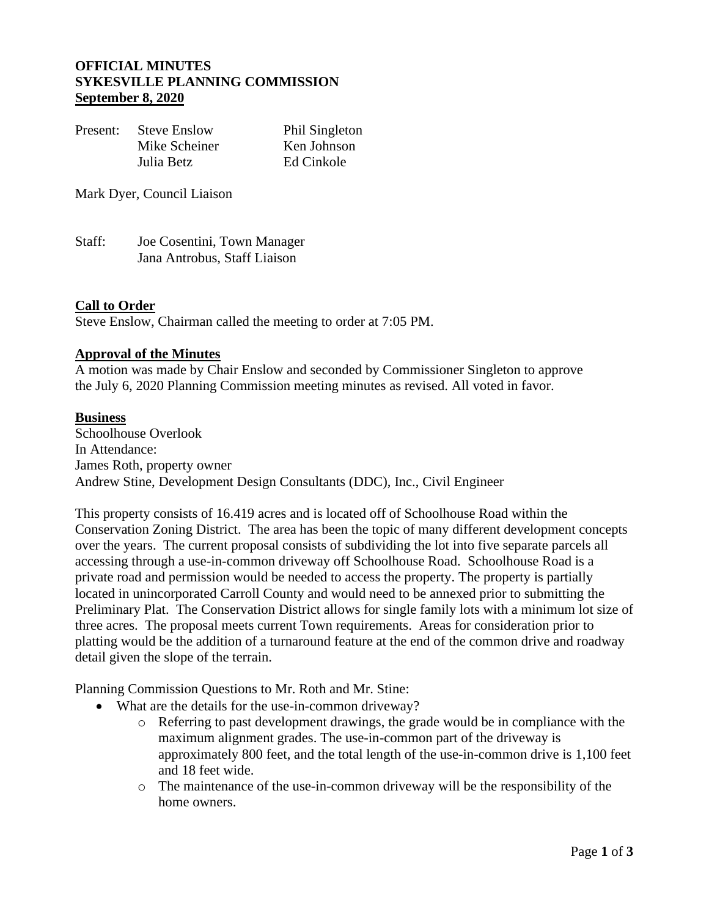### **OFFICIAL MINUTES SYKESVILLE PLANNING COMMISSION September 8, 2020**

| Present: | <b>Steve Enslow</b> | Phil Singleton |
|----------|---------------------|----------------|
|          | Mike Scheiner       | Ken Johnson    |
|          | Julia Betz          | Ed Cinkole     |

Mark Dyer, Council Liaison

Staff: Joe Cosentini, Town Manager Jana Antrobus, Staff Liaison

#### **Call to Order**

Steve Enslow, Chairman called the meeting to order at 7:05 PM.

#### **Approval of the Minutes**

A motion was made by Chair Enslow and seconded by Commissioner Singleton to approve the July 6, 2020 Planning Commission meeting minutes as revised. All voted in favor.

#### **Business**

Schoolhouse Overlook In Attendance: James Roth, property owner Andrew Stine, Development Design Consultants (DDC), Inc., Civil Engineer

This property consists of 16.419 acres and is located off of Schoolhouse Road within the Conservation Zoning District. The area has been the topic of many different development concepts over the years. The current proposal consists of subdividing the lot into five separate parcels all accessing through a use-in-common driveway off Schoolhouse Road. Schoolhouse Road is a private road and permission would be needed to access the property. The property is partially located in unincorporated Carroll County and would need to be annexed prior to submitting the Preliminary Plat. The Conservation District allows for single family lots with a minimum lot size of three acres. The proposal meets current Town requirements. Areas for consideration prior to platting would be the addition of a turnaround feature at the end of the common drive and roadway detail given the slope of the terrain.

Planning Commission Questions to Mr. Roth and Mr. Stine:

- What are the details for the use-in-common driveway?
	- o Referring to past development drawings, the grade would be in compliance with the maximum alignment grades. The use-in-common part of the driveway is approximately 800 feet, and the total length of the use-in-common drive is 1,100 feet and 18 feet wide.
	- o The maintenance of the use-in-common driveway will be the responsibility of the home owners.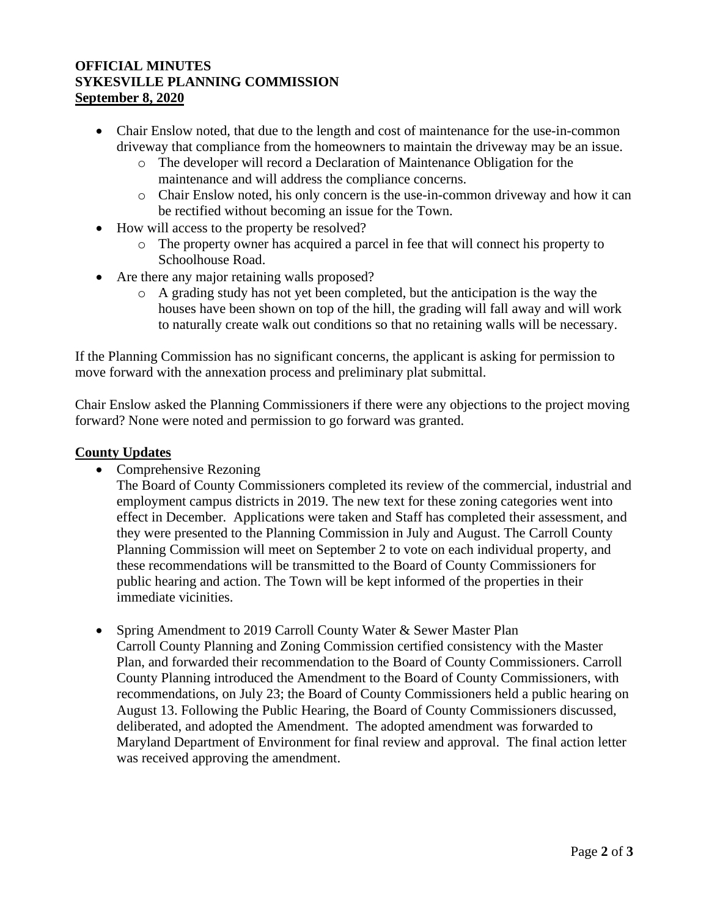## **OFFICIAL MINUTES SYKESVILLE PLANNING COMMISSION September 8, 2020**

- Chair Enslow noted, that due to the length and cost of maintenance for the use-in-common driveway that compliance from the homeowners to maintain the driveway may be an issue.
	- o The developer will record a Declaration of Maintenance Obligation for the maintenance and will address the compliance concerns.
	- o Chair Enslow noted, his only concern is the use-in-common driveway and how it can be rectified without becoming an issue for the Town.
- How will access to the property be resolved?
	- o The property owner has acquired a parcel in fee that will connect his property to Schoolhouse Road.
- Are there any major retaining walls proposed?
	- o A grading study has not yet been completed, but the anticipation is the way the houses have been shown on top of the hill, the grading will fall away and will work to naturally create walk out conditions so that no retaining walls will be necessary.

If the Planning Commission has no significant concerns, the applicant is asking for permission to move forward with the annexation process and preliminary plat submittal.

Chair Enslow asked the Planning Commissioners if there were any objections to the project moving forward? None were noted and permission to go forward was granted.

# **County Updates**

• Comprehensive Rezoning

The Board of County Commissioners completed its review of the commercial, industrial and employment campus districts in 2019. The new text for these zoning categories went into effect in December. Applications were taken and Staff has completed their assessment, and they were presented to the Planning Commission in July and August. The Carroll County Planning Commission will meet on September 2 to vote on each individual property, and these recommendations will be transmitted to the Board of County Commissioners for public hearing and action. The Town will be kept informed of the properties in their immediate vicinities.

• Spring Amendment to 2019 Carroll County Water & Sewer Master Plan Carroll County Planning and Zoning Commission certified consistency with the Master Plan, and forwarded their recommendation to the Board of County Commissioners. Carroll County Planning introduced the Amendment to the Board of County Commissioners, with recommendations, on July 23; the Board of County Commissioners held a public hearing on August 13. Following the Public Hearing, the Board of County Commissioners discussed, deliberated, and adopted the Amendment. The adopted amendment was forwarded to Maryland Department of Environment for final review and approval. The final action letter was received approving the amendment.